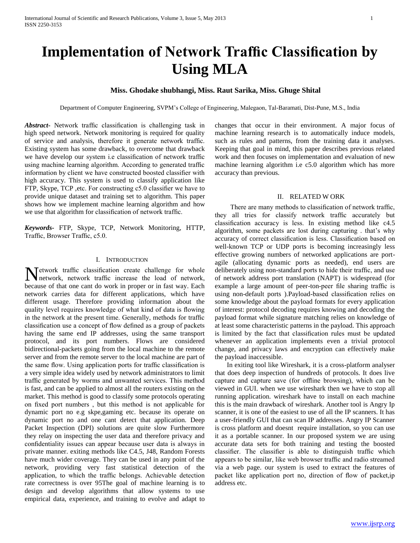# **Implementation of Network Traffic Classification by Using MLA**

# **Miss. Ghodake shubhangi, Miss. Raut Sarika, Miss. Ghuge Shital**

Department of Computer Engineering, SVPM's College of Engineering, Malegaon, Tal-Baramati, Dist-Pune, M.S., India

*Abstract***-** Network traffic classification is challenging task in high speed network. Network monitoring is required for quality of service and analysis, therefore it generate network traffic. Existing system has some drawback, to overcome that drawback we have develop our system i.e classification of network traffic using machine learning algorithm. According to generated traffic information by client we have constructed boosted classifier with high accuracy. This system is used to classify application like FTP, Skype, TCP ,etc. For constructing c5.0 classifier we have to provide unique dataset and training set to algorithm. This paper shows how we implement machine learning algorithm and how we use that algorithm for classification of network traffic.

*Keywords-* FTP, Skype, TCP, Network Monitoring, HTTP, Traffic, Browser Traffic, c5.0.

#### I. INTRODUCTION

etwork traffic classification create challenge for whole Network traffic classification create challenge for whole<br>
the network, network traffic increase the load of network, because of that one cant do work in proper or in fast way. Each network carries data for different applications, which have different usage. Therefore providing information about the quality level requires knowledge of what kind of data is flowing in the network at the present time. Generally, methods for traffic classification use a concept of flow defined as a group of packets having the same end IP addresses, using the same transport protocol, and its port numbers. Flows are considered bidirectional-packets going from the local machine to the remote server and from the remote server to the local machine are part of the same flow. Using application ports for traffic classification is a very simple idea widely used by network administrators to limit traffic generated by worms and unwanted services. This method is fast, and can be applied to almost all the routers existing on the market. This method is good to classify some protocols operating on fixed port numbers , but this method is not applicable for dynamic port no e.g skpe,gaming etc. because its operate on dynamic port no and one cant detect that application. Deep Packet Inspection (DPI) solutions are quite slow Furthermore they relay on inspecting the user data and therefore privacy and confidentiality issues can appear because user data is always in private manner. exiting methods like C4.5, J48, Random Forests have much wider coverage. They can be used in any point of the network, providing very fast statistical detection of the application, to which the traffic belongs. Achievable detection rate correctness is over 95The goal of machine learning is to design and develop algorithms that allow systems to use empirical data, experience, and training to evolve and adapt to

changes that occur in their environment. A major focus of machine learning research is to automatically induce models, such as rules and patterns, from the training data it analyses. Keeping that goal in mind, this paper describes previous related work and then focuses on implementation and evaluation of new machine learning algorithm i.e c5.0 algorithm which has more accuracy than previous.

#### II. RELATED W ORK

 There are many methods to classification of network traffic, they all tries for classify network traffic accurately but classification accuracy is less. In existing method like c4.5 algorithm, some packets are lost during capturing . that's why accuracy of correct classification is less. Classification based on well-known TCP or UDP ports is becoming increasingly less effective growing numbers of networked applications are portagile (allocating dynamic ports as needed), end users are deliberately using non-standard ports to hide their traffic, and use of network address port translation (NAPT) is widespread (for example a large amount of peer-ton-peer file sharing traffic is using non-default ports ).Payload-based classification relies on some knowledge about the payload formats for every application of interest: protocol decoding requires knowing and decoding the payload format while signature matching relies on knowledge of at least some characteristic patterns in the payload. This approach is limited by the fact that classification rules must be updated whenever an application implements even a trivial protocol change, and privacy laws and encryption can effectively make the payload inaccessible.

 In exiting tool like Wireshark, it is a cross-platform analyser that does deep inspection of hundreds of protocols. It does live capture and capture save (for offline browsing), which can be viewed in GUI. when we use wireshark then we have to stop all running application. wireshark have to install on each machine this is the main drawback of wireshark. Another tool is Angry Ip scanner, it is one of the easiest to use of all the IP scanners. It has a user-friendly GUI that can scan IP addresses. Angry IP Scanner is cross platform and doesnt require installation, so you can use it as a portable scanner. In our proposed system we are using accurate data sets for both training and testing the boosted classifier. The classifier is able to distinguish traffic which appears to be similar, like web browser traffic and radio streamed via a web page. our system is used to extract the features of packet like application port no, direction of flow of packet,ip address etc.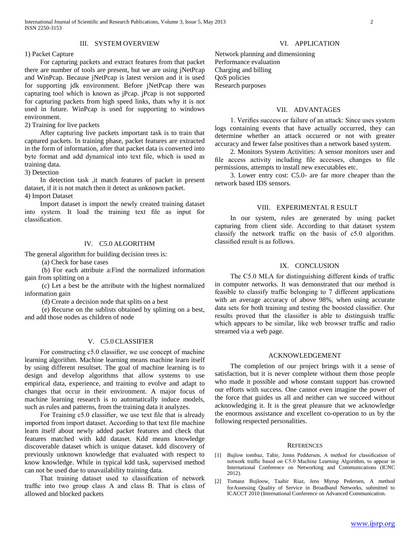#### III. SYSTEM OVERVIEW

## 1) Packet Capture

 For capturing packets and extract features from that packet there are number of tools are present, but we are using jNetPcap and WinPcap. Because jNetPcap is latest version and it is used for supporting jdk environment. Before jNetPcap there was capturing tool which is known as jPcap. jPcap is not supported for capturing packets from high speed links, thats why it is not used in future. WinPcap is used for supporting to windows environment.

2) Training for live packets

 After capturing live packets important task is to train that captured packets. In training phase, packet features are extracted in the form of information, after that packet data is converted into byte format and add dynamical into text file, which is used as training data.

3) Detection

 In detection task ,it match features of packet in present dataset, if it is not match then it detect as unknown packet. 4) Import Dataset

Import dataset is import the newly created training dataset

into system. It load the training text file as input for classification.

# IV. C5.0 ALGORITHM

The general algorithm for building decision trees is:

(a) Check for base cases

 (b) For each attribute a:Find the normalized information gain from splitting on a

 (c) Let a best be the attribute with the highest normalized information gain

(d) Create a decision node that splits on a best

 (e) Recurse on the sublists obtained by splitting on a best, and add those nodes as children of node

# V. C5.0 CLASSIFIER

 For constructing c5.0 classifier, we use concept of machine learning algorithm. Machine learning means machine learn itself by using different resultset. The goal of machine learning is to design and develop algorithms that allow systems to use empirical data, experience, and training to evolve and adapt to changes that occur in their environment. A major focus of machine learning research is to automatically induce models, such as rules and patterns, from the training data it analyzes.

 For Training c5.0 classifier, we use text file that is already imported from import dataset. According to that text file machine learn itself about newly added packet features and check that features matched with kdd dataset. Kdd means knowledge discoverable dataset which is unique dataset. kdd discovery of previously unknown knowledge that evaluated with respect to know knowledge. While in typical kdd task, supervised method can not be used due to unavailability training data.

 That training dataset used to classification of network traffic into two group class A and class B. That is class of allowed and blocked packets

#### VI. APPLICATION

Network planning and dimensioning Performance evaluation Charging and billing QoS policies Research purposes

# VII. ADVANTAGES

 1. Verifies success or failure of an attack: Since uses system logs containing events that have actually occurred, they can determine whether an attack occurred or not with greater accuracy and fewer false positives than a network based system.

 2. Monitors System Activities: A sensor monitors user and file access activity including file accesses, changes to file permissions, attempts to install new executables etc.

 3. Lower entry cost: C5.0- are far more cheaper than the network based IDS sensors.

# VIII. EXPERIMENTAL R ESULT

 In our system, rules are generated by using packet capturing from client side. According to that dataset system classify the network traffic on the basis of c5.0 algorithm. classified result is as follows.

#### IX. CONCLUSION

 The C5.0 MLA for distinguishing different kinds of traffic in computer networks. It was demonstrated that our method is feasible to classify traffic belonging to 7 different applications with an average accuracy of above 98%, when using accurate data sets for both training and testing the boosted classifier. Our results proved that the classifier is able to distinguish traffic which appears to be similar, like web browser traffic and radio streamed via a web page.

## ACKNOWLEDGEMENT

 The completion of our project brings with it a sense of satisfaction, but it is never complete without them those people who made it possible and whose constant support has crowned our efforts with success. One cannot even imagine the power of the force that guides us all and neither can we succeed without acknowledging it. It is the great pleasure that we acknowledge the enormous assistance and excellent co-operation to us by the following respected personalities.

#### **REFERENCES**

- [1] Bujlow tombaz, Tahir, Jenns Peddersen, A method for classification of network traffic based on C5.0 Machine Learning Algorithm, to appear in International Conference on Networking and Communications (ICNC 2012).
- [2] Tomasz Bujloow, Taahir Riaz, Jens Myrup Pedersen, A method forAssessing Quality of Service in Broadband Networks, submitted to ICACCT 2010 (International Conference on Advanced Communication.